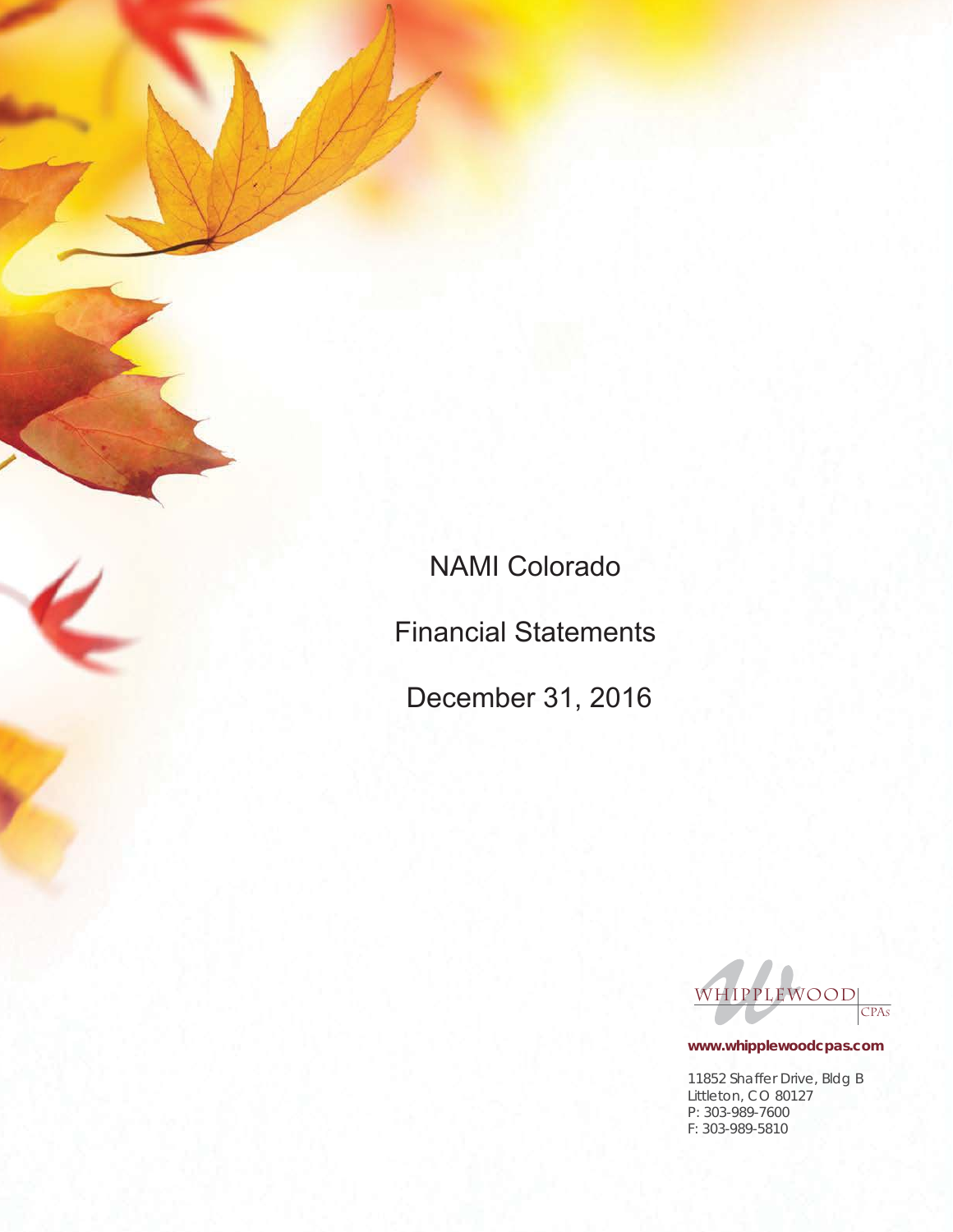NAMI Colorado Financial Statements

December 31, 2016



**www.whipplewoodcpas.com**

11852 Shaffer Drive, Bldg B Littleton, CO 80127 P: 303-989-7600 F: 303-989-5810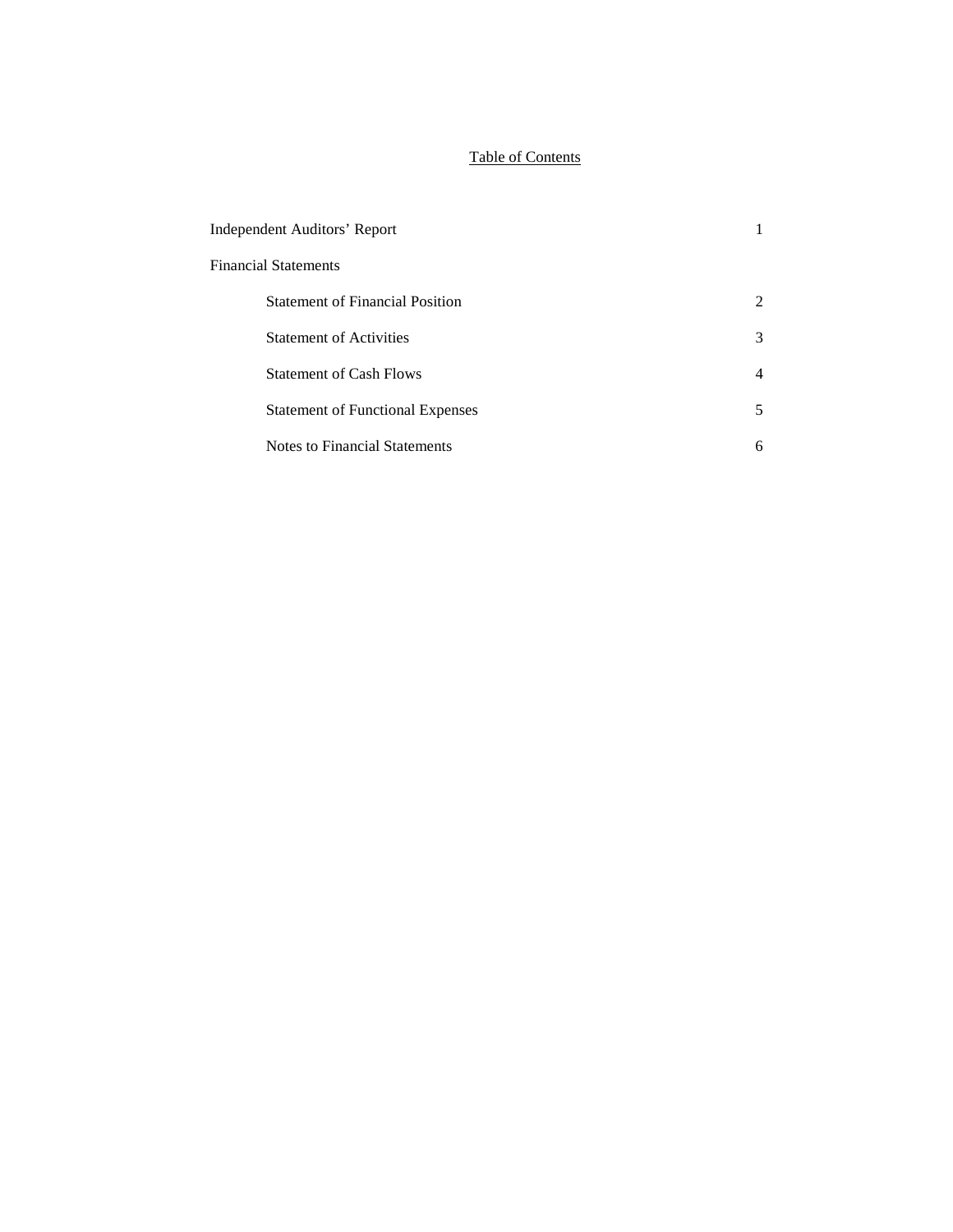# Table of Contents

| Independent Auditors' Report            |   |
|-----------------------------------------|---|
| <b>Financial Statements</b>             |   |
| <b>Statement of Financial Position</b>  |   |
| <b>Statement of Activities</b>          | 3 |
| <b>Statement of Cash Flows</b>          | 4 |
| <b>Statement of Functional Expenses</b> |   |
| Notes to Financial Statements           |   |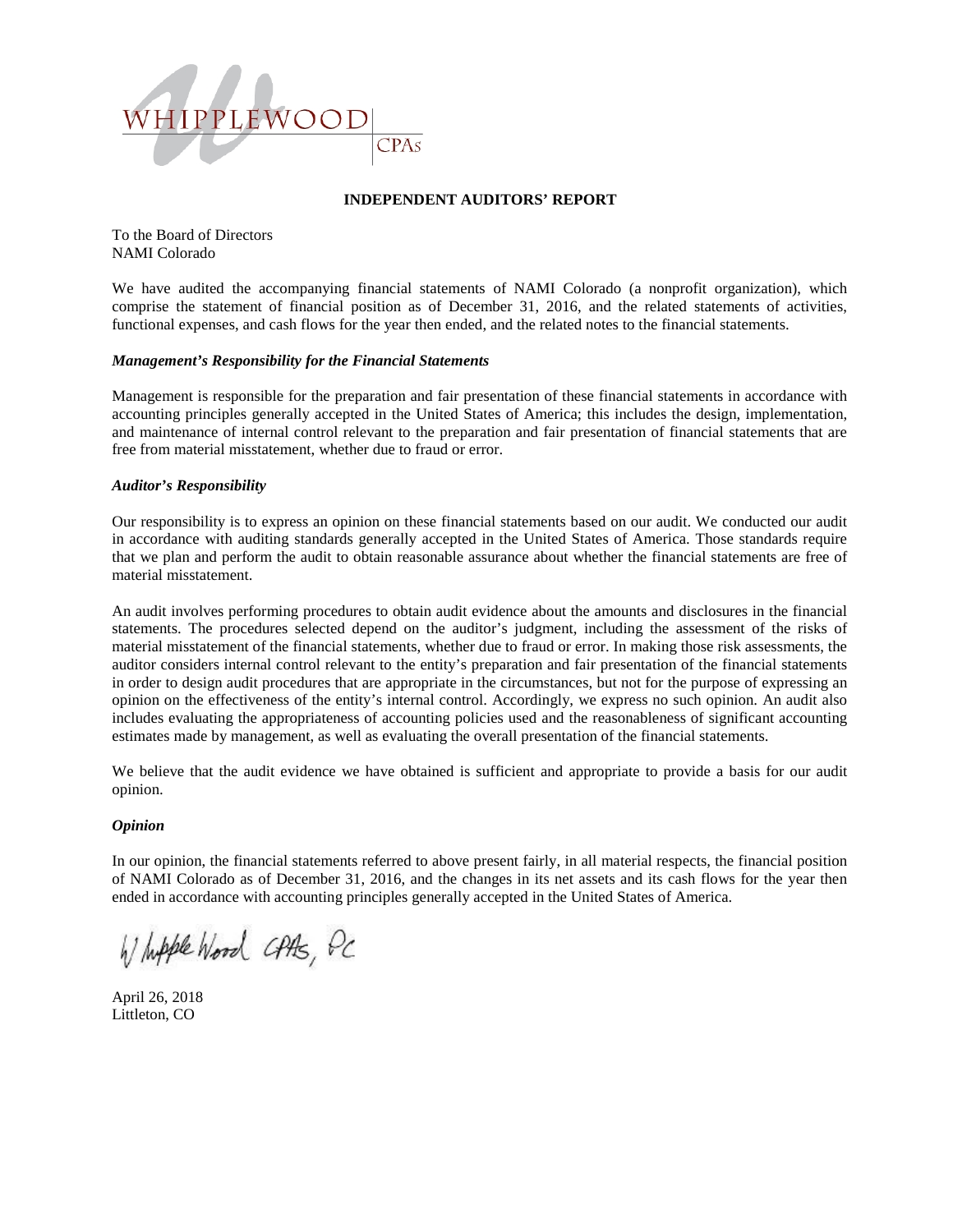

## **INDEPENDENT AUDITORS' REPORT**

To the Board of Directors NAMI Colorado

We have audited the accompanying financial statements of NAMI Colorado (a nonprofit organization), which comprise the statement of financial position as of December 31, 2016, and the related statements of activities, functional expenses, and cash flows for the year then ended, and the related notes to the financial statements.

#### *Management's Responsibility for the Financial Statements*

Management is responsible for the preparation and fair presentation of these financial statements in accordance with accounting principles generally accepted in the United States of America; this includes the design, implementation, and maintenance of internal control relevant to the preparation and fair presentation of financial statements that are free from material misstatement, whether due to fraud or error.

### *Auditor's Responsibility*

Our responsibility is to express an opinion on these financial statements based on our audit. We conducted our audit in accordance with auditing standards generally accepted in the United States of America. Those standards require that we plan and perform the audit to obtain reasonable assurance about whether the financial statements are free of material misstatement.

An audit involves performing procedures to obtain audit evidence about the amounts and disclosures in the financial statements. The procedures selected depend on the auditor's judgment, including the assessment of the risks of material misstatement of the financial statements, whether due to fraud or error. In making those risk assessments, the auditor considers internal control relevant to the entity's preparation and fair presentation of the financial statements in order to design audit procedures that are appropriate in the circumstances, but not for the purpose of expressing an opinion on the effectiveness of the entity's internal control. Accordingly, we express no such opinion. An audit also includes evaluating the appropriateness of accounting policies used and the reasonableness of significant accounting estimates made by management, as well as evaluating the overall presentation of the financial statements.

We believe that the audit evidence we have obtained is sufficient and appropriate to provide a basis for our audit opinion.

#### *Opinion*

In our opinion, the financial statements referred to above present fairly, in all material respects, the financial position of NAMI Colorado as of December 31, 2016, and the changes in its net assets and its cash flows for the year then ended in accordance with accounting principles generally accepted in the United States of America.

Whipple Wood CPAS, PC

April 26, 2018 Littleton, CO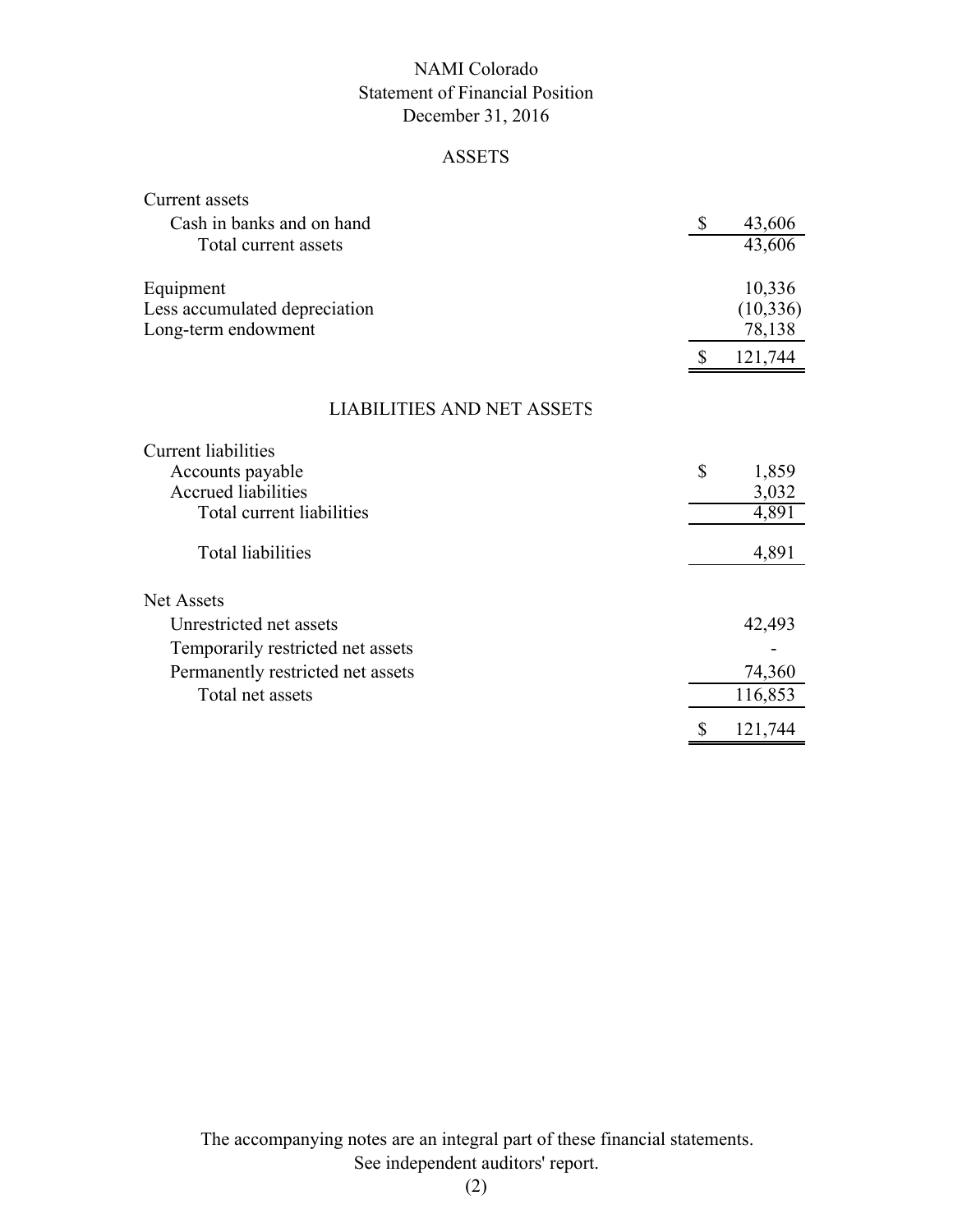# NAMI Colorado Statement of Financial Position December 31, 2016

# ASSETS

| Current assets                    |               |           |
|-----------------------------------|---------------|-----------|
| Cash in banks and on hand         | $\mathcal{S}$ | 43,606    |
| Total current assets              |               | 43,606    |
| Equipment                         |               | 10,336    |
| Less accumulated depreciation     |               | (10, 336) |
| Long-term endowment               |               | 78,138    |
|                                   |               | 121,744   |
| <b>LIABILITIES AND NET ASSETS</b> |               |           |
| <b>Current liabilities</b>        |               |           |
| Accounts payable                  | \$            | 1,859     |
| <b>Accrued liabilities</b>        |               | 3,032     |
| Total current liabilities         |               | 4,891     |
| <b>Total liabilities</b>          |               | 4,891     |
| <b>Net Assets</b>                 |               |           |
| Unrestricted net assets           |               | 42,493    |
| Temporarily restricted net assets |               |           |
| Permanently restricted net assets |               | 74,360    |
| Total net assets                  |               | 116,853   |
|                                   | \$            | 121,744   |

The accompanying notes are an integral part of these financial statements. See independent auditors' report.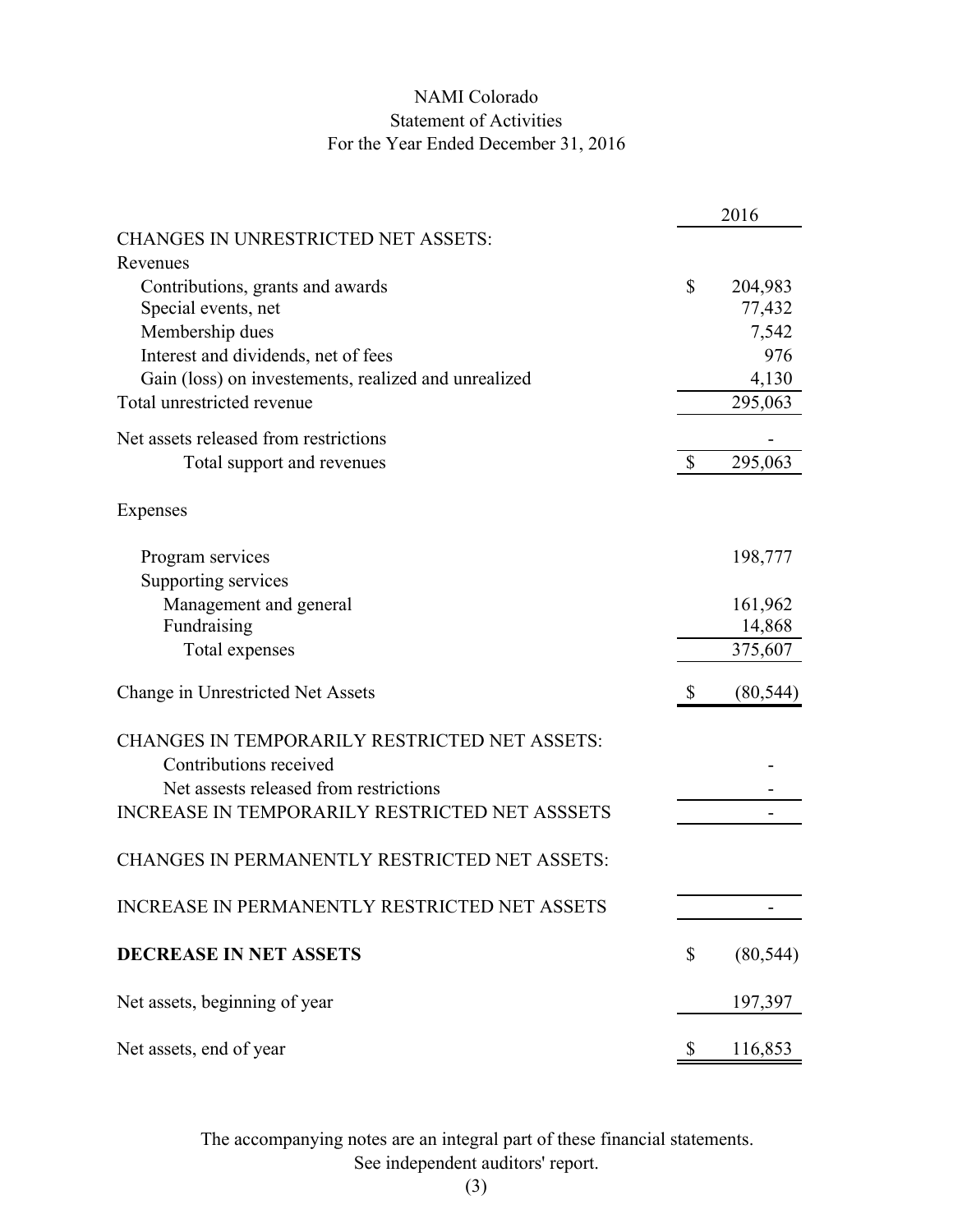# NAMI Colorado Statement of Activities For the Year Ended December 31, 2016

|                                                       |                           | 2016      |
|-------------------------------------------------------|---------------------------|-----------|
| <b>CHANGES IN UNRESTRICTED NET ASSETS:</b>            |                           |           |
| Revenues                                              |                           |           |
| Contributions, grants and awards                      | \$                        | 204,983   |
| Special events, net                                   |                           | 77,432    |
| Membership dues                                       |                           | 7,542     |
| Interest and dividends, net of fees                   |                           | 976       |
| Gain (loss) on investements, realized and unrealized  |                           | 4,130     |
| Total unrestricted revenue                            |                           | 295,063   |
| Net assets released from restrictions                 |                           |           |
| Total support and revenues                            | \$                        | 295,063   |
| Expenses                                              |                           |           |
| Program services                                      |                           | 198,777   |
| Supporting services                                   |                           |           |
| Management and general                                |                           | 161,962   |
| Fundraising                                           |                           | 14,868    |
| Total expenses                                        |                           | 375,607   |
| Change in Unrestricted Net Assets                     | $\boldsymbol{\mathsf{S}}$ | (80, 544) |
| <b>CHANGES IN TEMPORARILY RESTRICTED NET ASSETS:</b>  |                           |           |
| Contributions received                                |                           |           |
| Net assests released from restrictions                |                           |           |
| <b>INCREASE IN TEMPORARILY RESTRICTED NET ASSSETS</b> |                           |           |
| <b>CHANGES IN PERMANENTLY RESTRICTED NET ASSETS:</b>  |                           |           |
| INCREASE IN PERMANENTLY RESTRICTED NET ASSETS         |                           |           |
| DECREASE IN NET ASSETS                                | \$                        | (80, 544) |
| Net assets, beginning of year                         |                           | 197,397   |
| Net assets, end of year                               | \$                        | 116,853   |

The accompanying notes are an integral part of these financial statements. See independent auditors' report.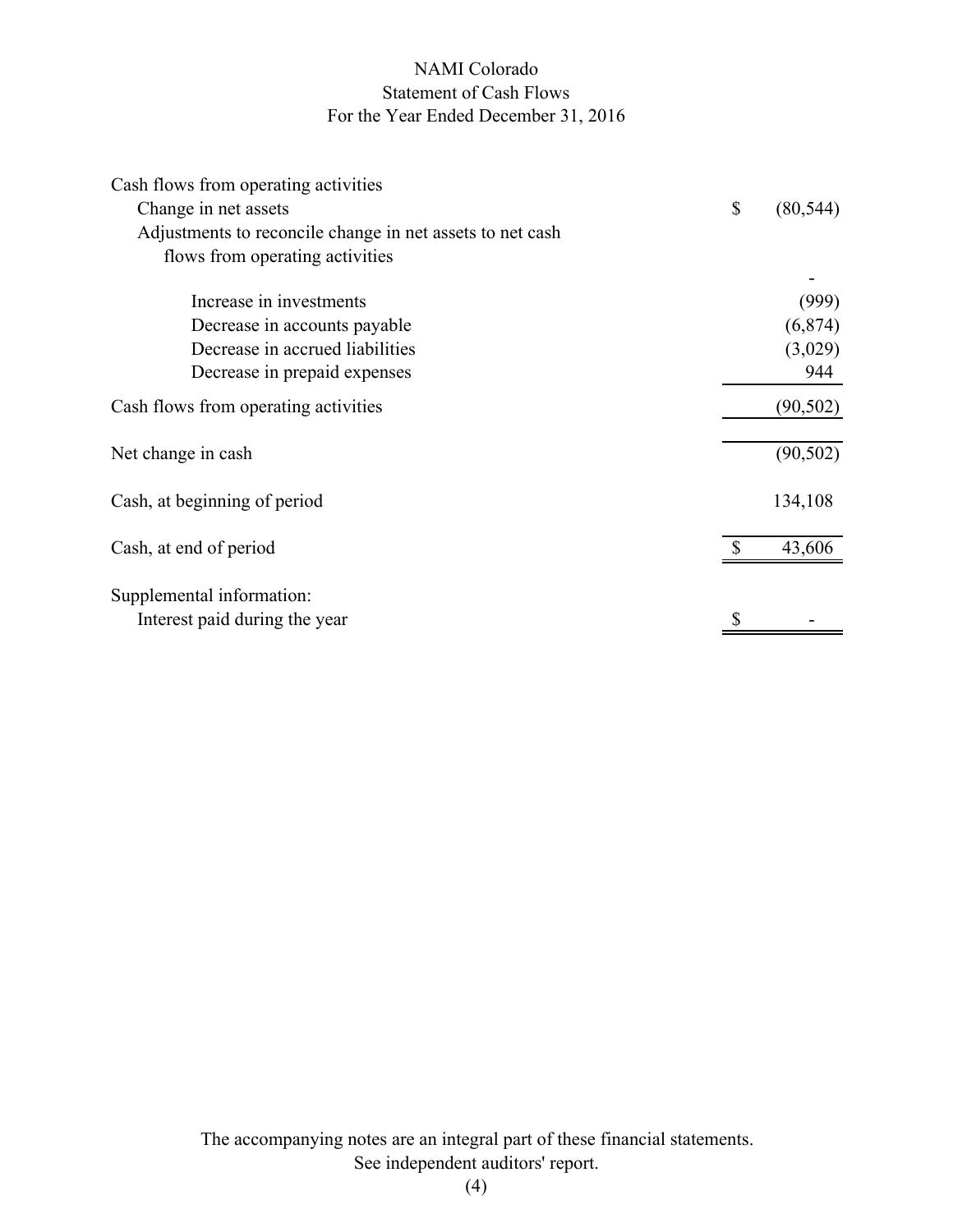# NAMI Colorado Statement of Cash Flows For the Year Ended December 31, 2016

| Cash flows from operating activities                      |                 |
|-----------------------------------------------------------|-----------------|
| Change in net assets                                      | \$<br>(80, 544) |
| Adjustments to reconcile change in net assets to net cash |                 |
| flows from operating activities                           |                 |
| Increase in investments                                   | (999)           |
| Decrease in accounts payable                              | (6, 874)        |
| Decrease in accrued liabilities                           | (3,029)         |
| Decrease in prepaid expenses                              | 944             |
| Cash flows from operating activities                      | (90, 502)       |
| Net change in cash                                        | (90, 502)       |
| Cash, at beginning of period                              | 134,108         |
| Cash, at end of period                                    | 43,606          |
| Supplemental information:                                 |                 |
| Interest paid during the year                             |                 |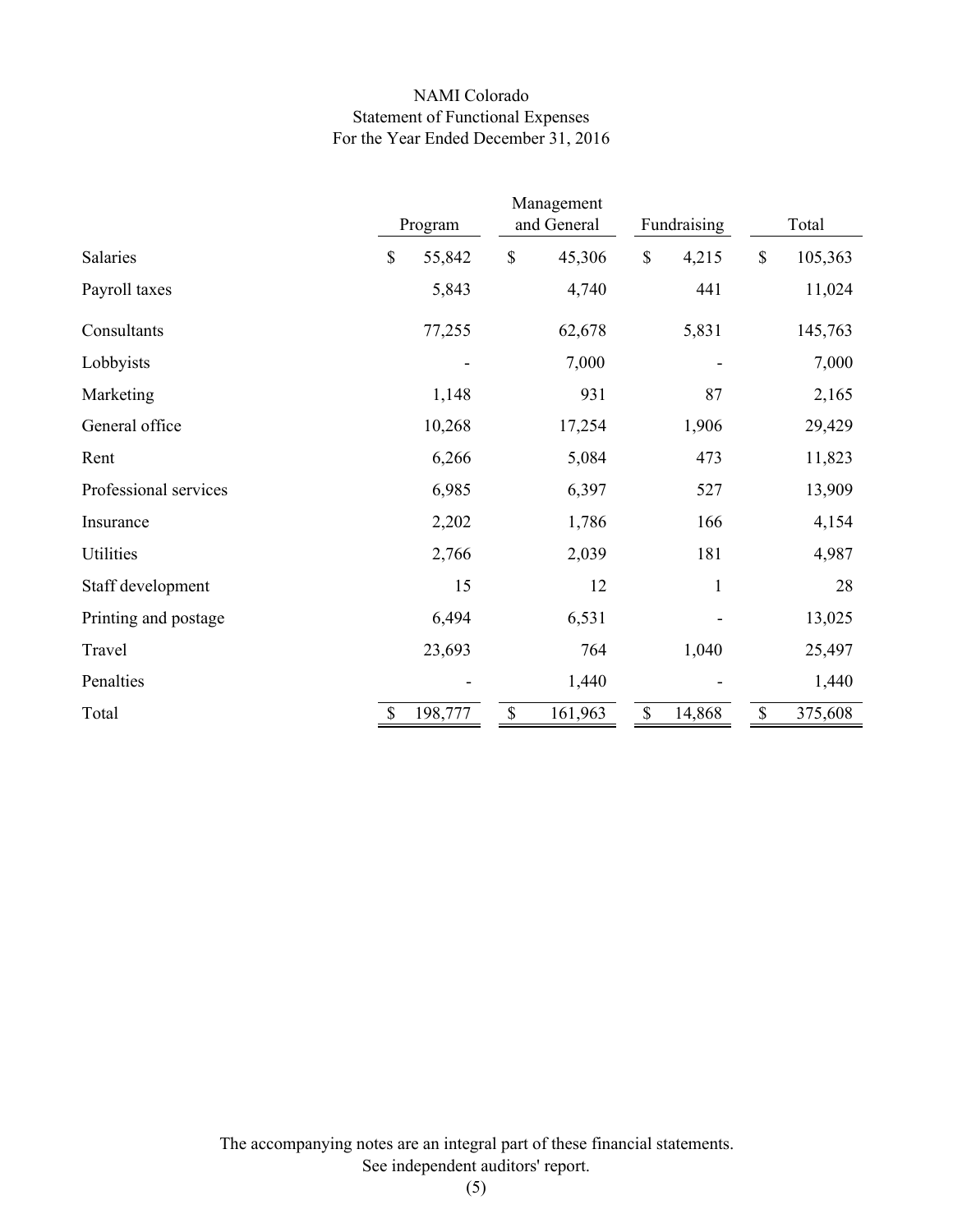# NAMI Colorado Statement of Functional Expenses For the Year Ended December 31, 2016

|                       |    | Program | Management<br>and General |         | Fundraising |              |              | Total   |  |
|-----------------------|----|---------|---------------------------|---------|-------------|--------------|--------------|---------|--|
| Salaries              | \$ | 55,842  | \$                        | 45,306  | \$          | 4,215        | $\mathbb{S}$ | 105,363 |  |
| Payroll taxes         |    | 5,843   |                           | 4,740   |             | 441          |              | 11,024  |  |
| Consultants           |    | 77,255  |                           | 62,678  |             | 5,831        |              | 145,763 |  |
| Lobbyists             |    |         |                           | 7,000   |             |              |              | 7,000   |  |
| Marketing             |    | 1,148   |                           | 931     |             | 87           |              | 2,165   |  |
| General office        |    | 10,268  |                           | 17,254  |             | 1,906        |              | 29,429  |  |
| Rent                  |    | 6,266   |                           | 5,084   |             | 473          |              | 11,823  |  |
| Professional services |    | 6,985   |                           | 6,397   |             | 527          |              | 13,909  |  |
| Insurance             |    | 2,202   |                           | 1,786   |             | 166          |              | 4,154   |  |
| Utilities             |    | 2,766   |                           | 2,039   |             | 181          |              | 4,987   |  |
| Staff development     |    | 15      |                           | 12      |             | $\mathbf{1}$ |              | 28      |  |
| Printing and postage  |    | 6,494   |                           | 6,531   |             |              |              | 13,025  |  |
| Travel                |    | 23,693  |                           | 764     |             | 1,040        |              | 25,497  |  |
| Penalties             |    |         |                           | 1,440   |             |              |              | 1,440   |  |
| Total                 | S  | 198,777 | \$                        | 161,963 | \$          | 14,868       | \$           | 375,608 |  |

The accompanying notes are an integral part of these financial statements. See independent auditors' report.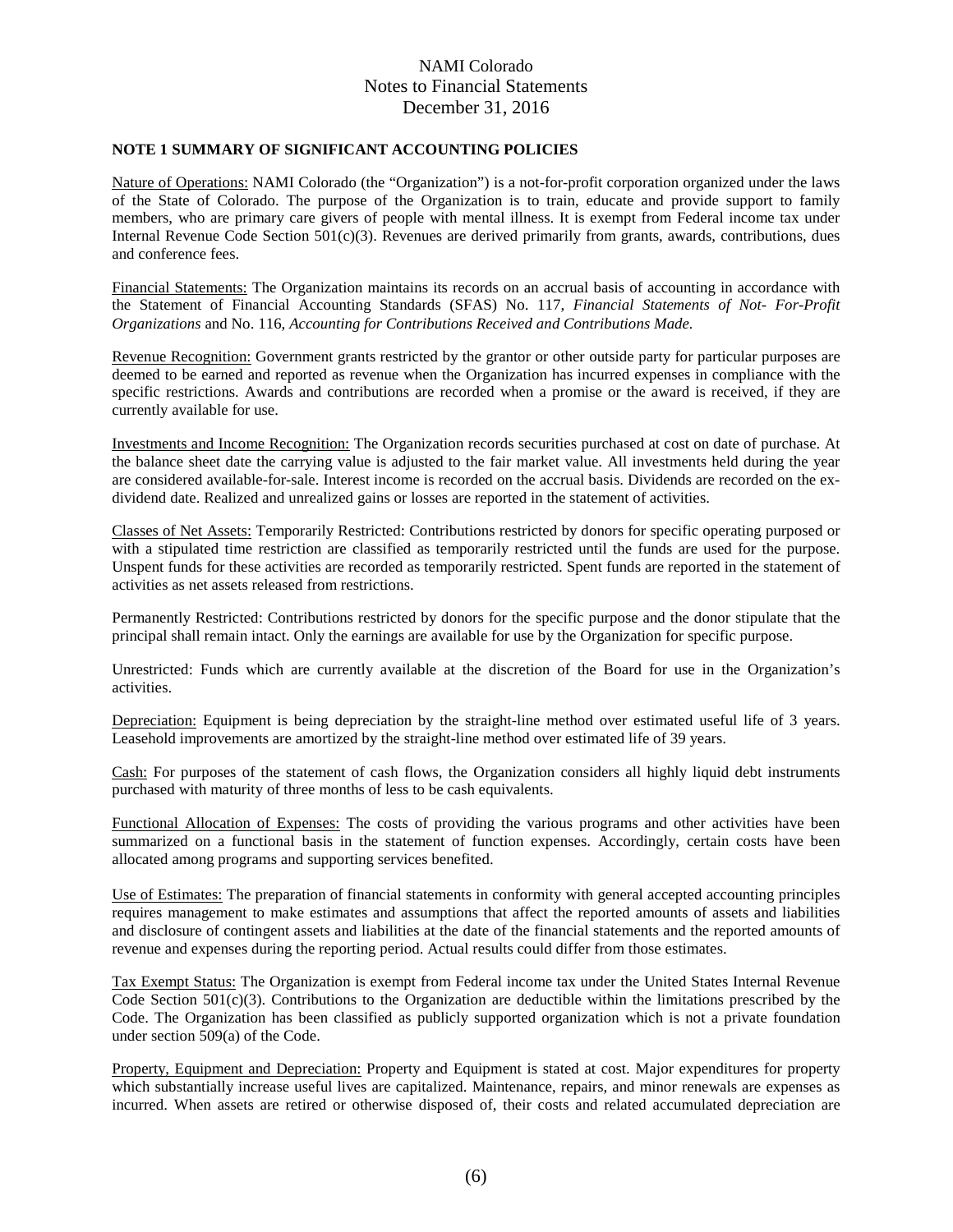# NAMI Colorado Notes to Financial Statements December 31, 2016

## **NOTE 1 SUMMARY OF SIGNIFICANT ACCOUNTING POLICIES**

Nature of Operations: NAMI Colorado (the "Organization") is a not-for-profit corporation organized under the laws of the State of Colorado. The purpose of the Organization is to train, educate and provide support to family members, who are primary care givers of people with mental illness. It is exempt from Federal income tax under Internal Revenue Code Section  $501(c)(3)$ . Revenues are derived primarily from grants, awards, contributions, dues and conference fees.

Financial Statements: The Organization maintains its records on an accrual basis of accounting in accordance with the Statement of Financial Accounting Standards (SFAS) No. 117, *Financial Statements of Not- For-Profit Organizations* and No. 116, *Accounting for Contributions Received and Contributions Made.*

Revenue Recognition: Government grants restricted by the grantor or other outside party for particular purposes are deemed to be earned and reported as revenue when the Organization has incurred expenses in compliance with the specific restrictions. Awards and contributions are recorded when a promise or the award is received, if they are currently available for use.

Investments and Income Recognition: The Organization records securities purchased at cost on date of purchase. At the balance sheet date the carrying value is adjusted to the fair market value. All investments held during the year are considered available-for-sale. Interest income is recorded on the accrual basis. Dividends are recorded on the exdividend date. Realized and unrealized gains or losses are reported in the statement of activities.

Classes of Net Assets: Temporarily Restricted: Contributions restricted by donors for specific operating purposed or with a stipulated time restriction are classified as temporarily restricted until the funds are used for the purpose. Unspent funds for these activities are recorded as temporarily restricted. Spent funds are reported in the statement of activities as net assets released from restrictions.

Permanently Restricted: Contributions restricted by donors for the specific purpose and the donor stipulate that the principal shall remain intact. Only the earnings are available for use by the Organization for specific purpose.

Unrestricted: Funds which are currently available at the discretion of the Board for use in the Organization's activities.

Depreciation: Equipment is being depreciation by the straight-line method over estimated useful life of 3 years. Leasehold improvements are amortized by the straight-line method over estimated life of 39 years.

Cash: For purposes of the statement of cash flows, the Organization considers all highly liquid debt instruments purchased with maturity of three months of less to be cash equivalents.

Functional Allocation of Expenses: The costs of providing the various programs and other activities have been summarized on a functional basis in the statement of function expenses. Accordingly, certain costs have been allocated among programs and supporting services benefited.

Use of Estimates: The preparation of financial statements in conformity with general accepted accounting principles requires management to make estimates and assumptions that affect the reported amounts of assets and liabilities and disclosure of contingent assets and liabilities at the date of the financial statements and the reported amounts of revenue and expenses during the reporting period. Actual results could differ from those estimates.

Tax Exempt Status: The Organization is exempt from Federal income tax under the United States Internal Revenue Code Section  $501(c)(3)$ . Contributions to the Organization are deductible within the limitations prescribed by the Code. The Organization has been classified as publicly supported organization which is not a private foundation under section 509(a) of the Code.

Property, Equipment and Depreciation: Property and Equipment is stated at cost. Major expenditures for property which substantially increase useful lives are capitalized. Maintenance, repairs, and minor renewals are expenses as incurred. When assets are retired or otherwise disposed of, their costs and related accumulated depreciation are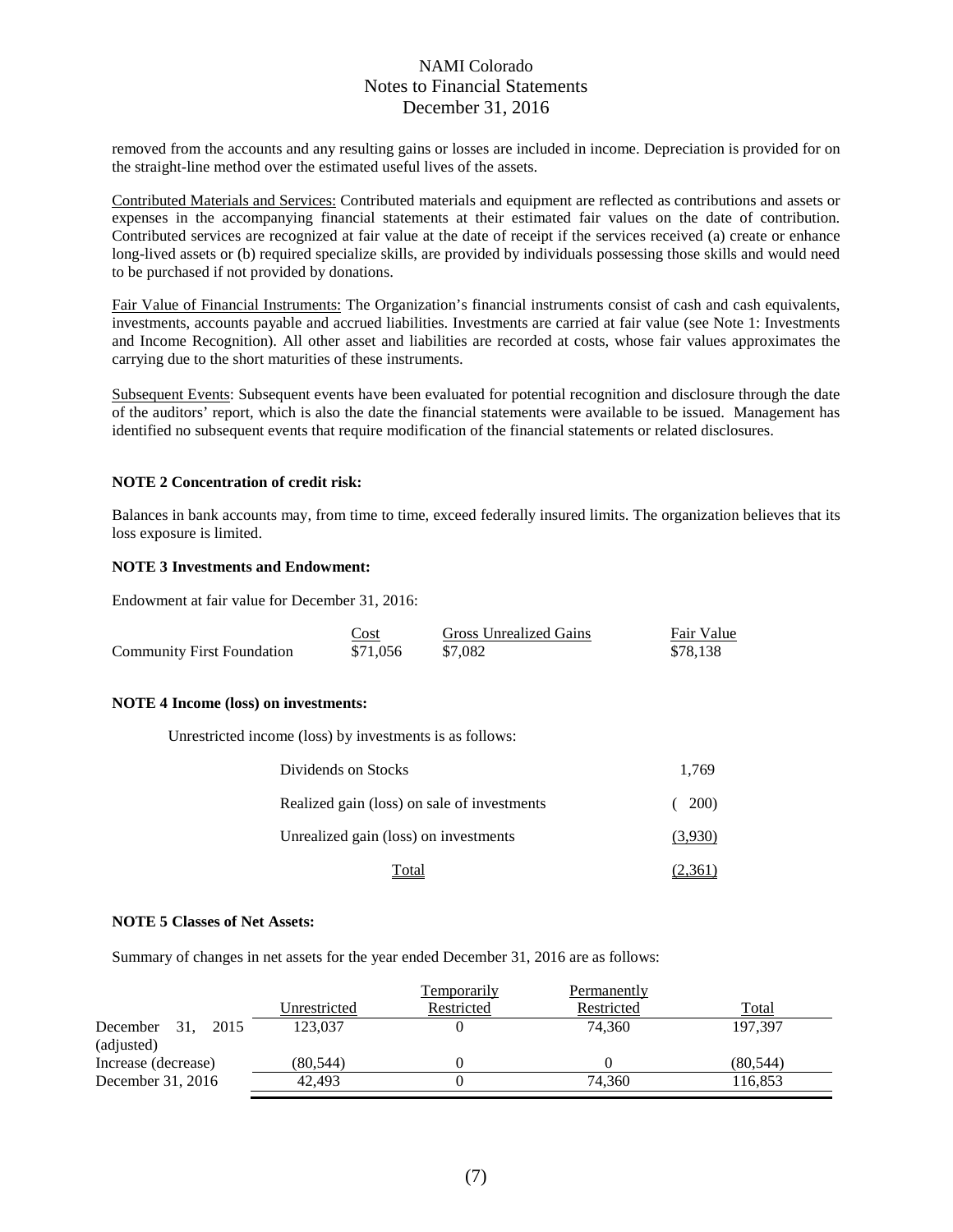# NAMI Colorado Notes to Financial Statements December 31, 2016

removed from the accounts and any resulting gains or losses are included in income. Depreciation is provided for on the straight-line method over the estimated useful lives of the assets.

Contributed Materials and Services: Contributed materials and equipment are reflected as contributions and assets or expenses in the accompanying financial statements at their estimated fair values on the date of contribution. Contributed services are recognized at fair value at the date of receipt if the services received (a) create or enhance long-lived assets or (b) required specialize skills, are provided by individuals possessing those skills and would need to be purchased if not provided by donations.

Fair Value of Financial Instruments: The Organization's financial instruments consist of cash and cash equivalents, investments, accounts payable and accrued liabilities. Investments are carried at fair value (see Note 1: Investments and Income Recognition). All other asset and liabilities are recorded at costs, whose fair values approximates the carrying due to the short maturities of these instruments.

Subsequent Events: Subsequent events have been evaluated for potential recognition and disclosure through the date of the auditors' report, which is also the date the financial statements were available to be issued. Management has identified no subsequent events that require modification of the financial statements or related disclosures.

## **NOTE 2 Concentration of credit risk:**

Balances in bank accounts may, from time to time, exceed federally insured limits. The organization believes that its loss exposure is limited.

#### **NOTE 3 Investments and Endowment:**

Endowment at fair value for December 31, 2016:

|                                   | Cost     | <b>Gross Unrealized Gains</b> | Fair Value |
|-----------------------------------|----------|-------------------------------|------------|
| <b>Community First Foundation</b> | \$71.056 | \$7.082                       | \$78.138   |

#### **NOTE 4 Income (loss) on investments:**

Unrestricted income (loss) by investments is as follows:

| Dividends on Stocks                         | 1.769   |
|---------------------------------------------|---------|
| Realized gain (loss) on sale of investments | (200)   |
| Unrealized gain (loss) on investments       | (3,930) |
| Total                                       | (2,361) |

#### **NOTE 5 Classes of Net Assets:**

Summary of changes in net assets for the year ended December 31, 2016 are as follows:

|                                        | Unrestricted | <b>Temporarily</b><br>Restricted | Permanently<br>Restricted | Total    |
|----------------------------------------|--------------|----------------------------------|---------------------------|----------|
| December<br>-31.<br>2015<br>(adjusted) | 123,037      |                                  | 74.360                    | 197.397  |
| Increase (decrease)                    | (80.544)     |                                  |                           | (80.544) |
| December 31, 2016                      | 42,493       |                                  | 74.360                    | 116,853  |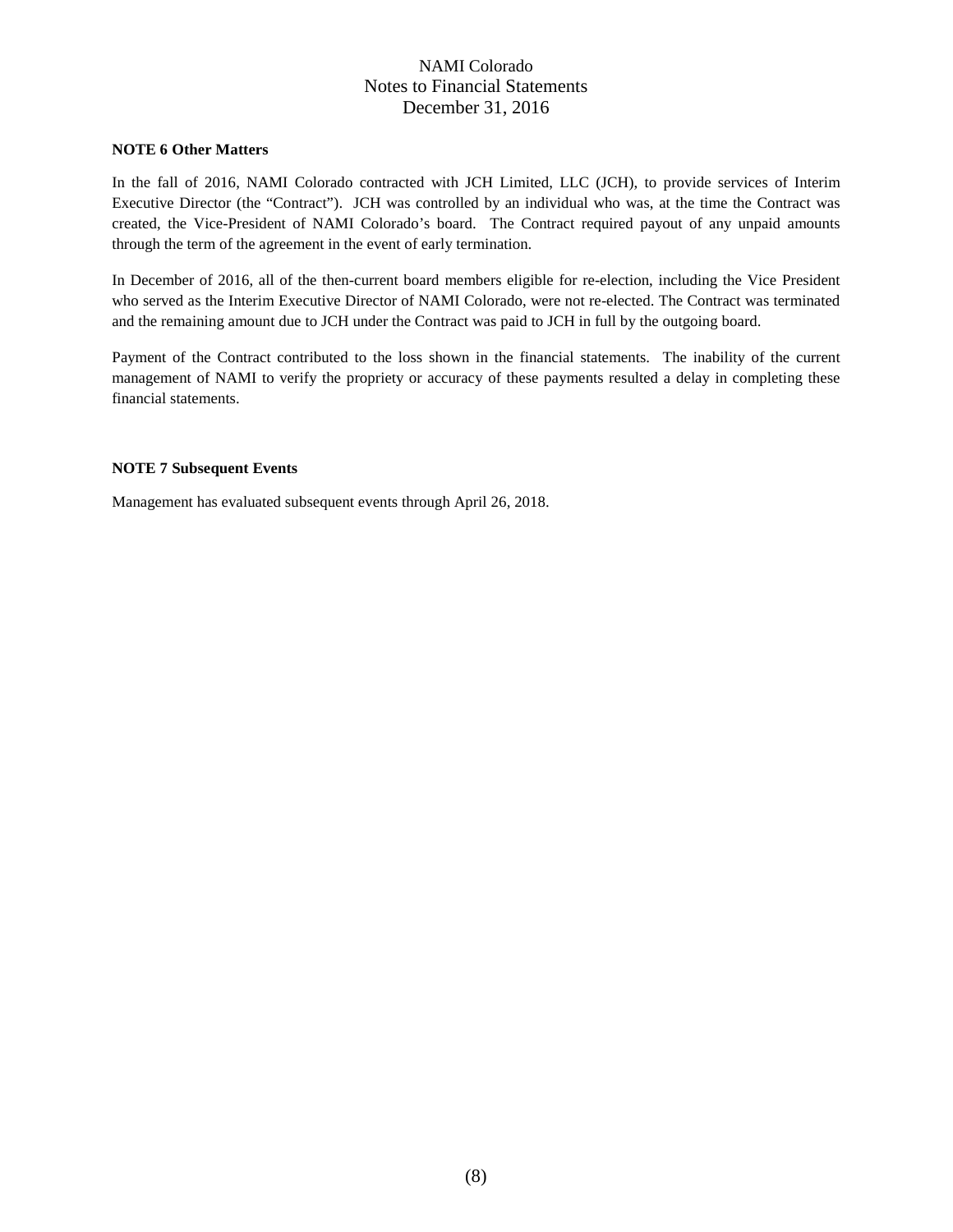# NAMI Colorado Notes to Financial Statements December 31, 2016

## **NOTE 6 Other Matters**

In the fall of 2016, NAMI Colorado contracted with JCH Limited, LLC (JCH), to provide services of Interim Executive Director (the "Contract"). JCH was controlled by an individual who was, at the time the Contract was created, the Vice-President of NAMI Colorado's board. The Contract required payout of any unpaid amounts through the term of the agreement in the event of early termination.

In December of 2016, all of the then-current board members eligible for re-election, including the Vice President who served as the Interim Executive Director of NAMI Colorado, were not re-elected. The Contract was terminated and the remaining amount due to JCH under the Contract was paid to JCH in full by the outgoing board.

Payment of the Contract contributed to the loss shown in the financial statements. The inability of the current management of NAMI to verify the propriety or accuracy of these payments resulted a delay in completing these financial statements.

#### **NOTE 7 Subsequent Events**

Management has evaluated subsequent events through April 26, 2018.